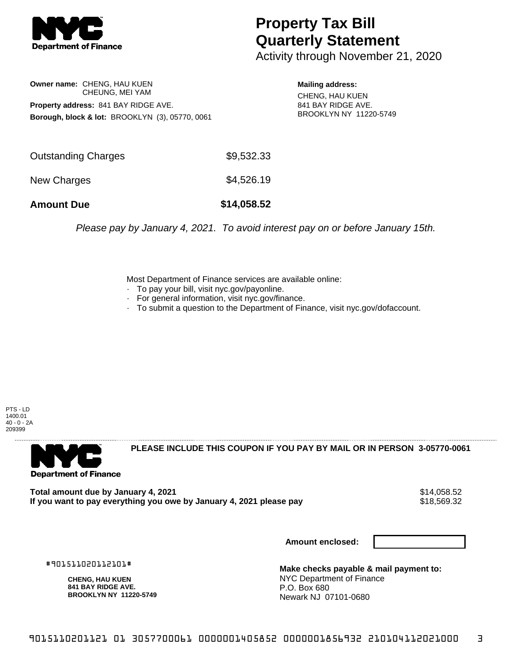

## **Property Tax Bill Quarterly Statement**

Activity through November 21, 2020

**Owner name:** CHENG, HAU KUEN CHEUNG, MEI YAM **Property address:** 841 BAY RIDGE AVE. **Borough, block & lot:** BROOKLYN (3), 05770, 0061

**Mailing address:** CHENG, HAU KUEN 841 BAY RIDGE AVE. BROOKLYN NY 11220-5749

| <b>Amount Due</b>   | \$14,058.52 |
|---------------------|-------------|
| New Charges         | \$4,526.19  |
| Outstanding Charges | \$9,532.33  |

Please pay by January 4, 2021. To avoid interest pay on or before January 15th.

Most Department of Finance services are available online:

- · To pay your bill, visit nyc.gov/payonline.
- For general information, visit nyc.gov/finance.
- · To submit a question to the Department of Finance, visit nyc.gov/dofaccount.

PTS - LD 1400.01 40 - 0 - 2A 209399



**PLEASE INCLUDE THIS COUPON IF YOU PAY BY MAIL OR IN PERSON 3-05770-0061** 

Total amount due by January 4, 2021<br>If you want to pay everything you owe by January 4, 2021 please pay **strategy and the strategy of the strategy** If you want to pay everything you owe by January 4, 2021 please pay

**Amount enclosed:**

#901511020112101#

**CHENG, HAU KUEN 841 BAY RIDGE AVE. BROOKLYN NY 11220-5749**

**Make checks payable & mail payment to:** NYC Department of Finance P.O. Box 680 Newark NJ 07101-0680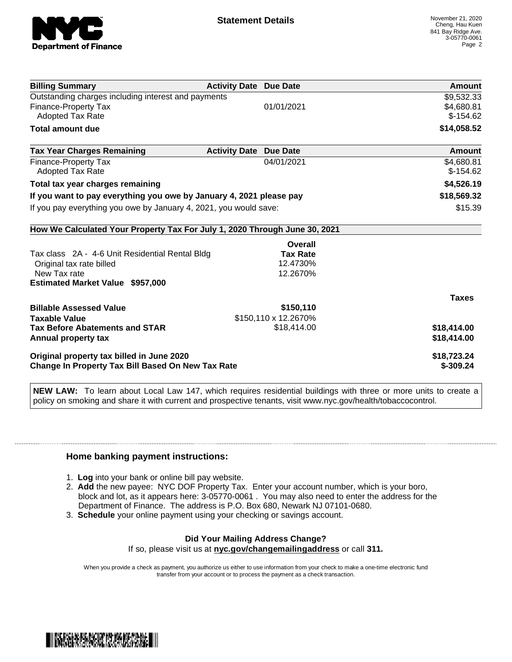

| <b>Billing Summary</b>                                                     | <b>Activity Date Due Date</b> |                      | Amount       |
|----------------------------------------------------------------------------|-------------------------------|----------------------|--------------|
| Outstanding charges including interest and payments                        |                               |                      | \$9,532.33   |
| <b>Finance-Property Tax</b>                                                |                               | 01/01/2021           | \$4,680.81   |
| Adopted Tax Rate                                                           |                               |                      | $$-154.62$   |
| <b>Total amount due</b>                                                    |                               |                      | \$14,058.52  |
| <b>Tax Year Charges Remaining</b>                                          | <b>Activity Date</b>          | <b>Due Date</b>      | Amount       |
| <b>Finance-Property Tax</b>                                                |                               | 04/01/2021           | \$4,680.81   |
| <b>Adopted Tax Rate</b>                                                    |                               |                      | $$-154.62$   |
| Total tax year charges remaining                                           |                               |                      | \$4,526.19   |
| If you want to pay everything you owe by January 4, 2021 please pay        |                               |                      | \$18,569.32  |
| If you pay everything you owe by January 4, 2021, you would save:          |                               | \$15.39              |              |
| How We Calculated Your Property Tax For July 1, 2020 Through June 30, 2021 |                               |                      |              |
|                                                                            |                               | Overall              |              |
| Tax class 2A - 4-6 Unit Residential Rental Bldg                            |                               | <b>Tax Rate</b>      |              |
| Original tax rate billed                                                   |                               | 12.4730%             |              |
| New Tax rate                                                               |                               | 12.2670%             |              |
| <b>Estimated Market Value \$957,000</b>                                    |                               |                      |              |
|                                                                            |                               |                      | <b>Taxes</b> |
| <b>Billable Assessed Value</b>                                             |                               | \$150,110            |              |
| <b>Taxable Value</b>                                                       |                               | \$150,110 x 12.2670% |              |
| <b>Tax Before Abatements and STAR</b>                                      |                               | \$18,414.00          | \$18,414.00  |
| Annual property tax                                                        |                               |                      | \$18,414.00  |
| Original property tax billed in June 2020                                  |                               |                      | \$18,723.24  |
| <b>Change In Property Tax Bill Based On New Tax Rate</b>                   |                               |                      | $$-309.24$   |

**NEW LAW:** To learn about Local Law 147, which requires residential buildings with three or more units to create a policy on smoking and share it with current and prospective tenants, visit www.nyc.gov/health/tobaccocontrol.

## **Home banking payment instructions:**

- 1. **Log** into your bank or online bill pay website.
- 2. **Add** the new payee: NYC DOF Property Tax. Enter your account number, which is your boro, block and lot, as it appears here: 3-05770-0061 . You may also need to enter the address for the Department of Finance. The address is P.O. Box 680, Newark NJ 07101-0680.
- 3. **Schedule** your online payment using your checking or savings account.

## **Did Your Mailing Address Change?** If so, please visit us at **nyc.gov/changemailingaddress** or call **311.**

When you provide a check as payment, you authorize us either to use information from your check to make a one-time electronic fund transfer from your account or to process the payment as a check transaction.